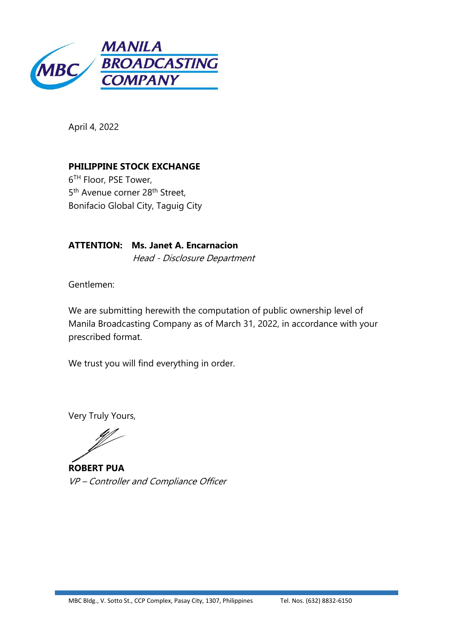

April 4, 2022

**PHILIPPINE STOCK EXCHANGE** 6 TH Floor, PSE Tower, 5<sup>th</sup> Avenue corner 28<sup>th</sup> Street, Bonifacio Global City, Taguig City

**ATTENTION: Ms. Janet A. Encarnacion** Head - Disclosure Department

Gentlemen:

We are submitting herewith the computation of public ownership level of Manila Broadcasting Company as of March 31, 2022, in accordance with your prescribed format.

We trust you will find everything in order.

Very Truly Yours,

**ROBERT PUA** VP – Controller and Compliance Officer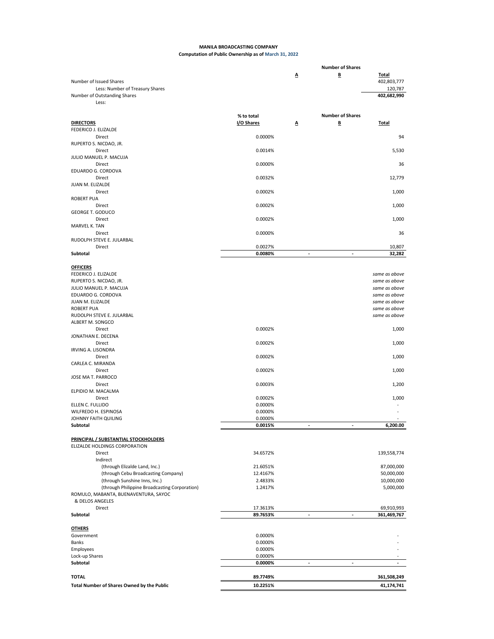## **MANILA BROADCASTING COMPANY Computation of Public Ownership as of March 31, 2022**

|                                                         |                    |                | <b>Number of Shares</b>  |                                |
|---------------------------------------------------------|--------------------|----------------|--------------------------|--------------------------------|
| Number of Issued Shares                                 |                    | Δ              | B                        | <b>Total</b><br>402,803,777    |
| Less: Number of Treasury Shares                         |                    |                |                          | 120,787                        |
| Number of Outstanding Shares<br>Less:                   |                    |                |                          | 402,682,990                    |
|                                                         |                    |                |                          |                                |
|                                                         | % to total         |                | <b>Number of Shares</b>  |                                |
| <b>DIRECTORS</b>                                        | I/O Shares         | Δ              | B                        | Total                          |
| FEDERICO J. ELIZALDE                                    |                    |                |                          |                                |
| Direct<br>RUPERTO S. NICDAO, JR.                        | 0.0000%            |                |                          | 94                             |
| Direct                                                  | 0.0014%            |                |                          | 5,530                          |
| JULIO MANUEL P. MACUJA                                  |                    |                |                          |                                |
| Direct                                                  | 0.0000%            |                |                          | 36                             |
| EDUARDO G. CORDOVA                                      |                    |                |                          |                                |
| Direct                                                  | 0.0032%            |                |                          | 12,779                         |
| JUAN M. ELIZALDE<br>Direct                              | 0.0002%            |                |                          | 1,000                          |
| <b>ROBERT PUA</b>                                       |                    |                |                          |                                |
| Direct                                                  | 0.0002%            |                |                          | 1,000                          |
| <b>GEORGE T. GODUCO</b>                                 |                    |                |                          |                                |
| Direct                                                  | 0.0002%            |                |                          | 1,000                          |
| MARVEL K. TAN<br>Direct                                 | 0.0000%            |                |                          | 36                             |
| RUDOLPH STEVE E. JULARBAL                               |                    |                |                          |                                |
| Direct                                                  | 0.0027%            |                |                          | 10,807                         |
| Subtotal                                                | 0.0080%            | $\sim$         | $\overline{\phantom{a}}$ | 32,282                         |
|                                                         |                    |                |                          |                                |
| <b>OFFICERS</b>                                         |                    |                |                          |                                |
| FEDERICO J. ELIZALDE<br>RUPERTO S. NICDAO, JR.          |                    |                |                          | same as above<br>same as above |
| JULIO MANUEL P. MACUJA                                  |                    |                |                          | same as above                  |
| EDUARDO G. CORDOVA                                      |                    |                |                          | same as above                  |
| JUAN M. ELIZALDE                                        |                    |                |                          | same as above                  |
| <b>ROBERT PUA</b>                                       |                    |                |                          | same as above                  |
| RUDOLPH STEVE E. JULARBAL<br>ALBERT M. SONGCO           |                    |                |                          | same as above                  |
| Direct                                                  | 0.0002%            |                |                          | 1,000                          |
| JONATHAN E. DECENA                                      |                    |                |                          |                                |
| Direct                                                  | 0.0002%            |                |                          | 1,000                          |
| <b>IRVING A. LISONDRA</b>                               |                    |                |                          |                                |
| Direct                                                  | 0.0002%            |                |                          | 1,000                          |
| CARLEA C. MIRANDA<br>Direct                             | 0.0002%            |                |                          | 1,000                          |
| JOSE MA T. PARROCO                                      |                    |                |                          |                                |
| Direct                                                  | 0.0003%            |                |                          | 1,200                          |
| ELPIDIO M. MACALMA                                      |                    |                |                          |                                |
| Direct                                                  | 0.0002%            |                |                          | 1,000                          |
| ELLEN C. FULLIDO<br>WILFREDO H. ESPINOSA                | 0.0000%<br>0.0000% |                |                          |                                |
| JOHNNY FAITH QUILING                                    | 0.0000%            |                |                          |                                |
| Subtotal                                                | 0.0015%            |                |                          | 6,200.00                       |
|                                                         |                    |                |                          |                                |
| PRINCIPAL / SUBSTANTIAL STOCKHOLDERS                    |                    |                |                          |                                |
| ELIZALDE HOLDINGS CORPORATION<br>Direct                 | 34.6572%           |                |                          | 139,558,774                    |
| Indirect                                                |                    |                |                          |                                |
| (through Elizalde Land, Inc.)                           | 21.6051%           |                |                          | 87,000,000                     |
| (through Cebu Broadcasting Company)                     | 12.4167%           |                |                          | 50,000,000                     |
| (through Sunshine Inns, Inc.)                           | 2.4833%            |                |                          | 10,000,000                     |
| (through Philippine Broadcasting Corporation)           | 1.2417%            |                |                          | 5,000,000                      |
| ROMULO, MABANTA, BUENAVENTURA, SAYOC<br>& DELOS ANGELES |                    |                |                          |                                |
| Direct                                                  | 17.3613%           |                |                          | 69,910,993                     |
| Subtotal                                                | 89.7653%           | $\blacksquare$ |                          | 361,469,767                    |
|                                                         |                    |                |                          |                                |
| <b>OTHERS</b>                                           |                    |                |                          |                                |
| Government<br>Banks                                     | 0.0000%<br>0.0000% |                |                          |                                |
| Employees                                               | 0.0000%            |                |                          |                                |
| Lock-up Shares                                          | 0.0000%            |                |                          |                                |
| Subtotal                                                | 0.0000%            |                |                          |                                |
|                                                         |                    |                |                          |                                |
| <b>TOTAL</b>                                            | 89.7749%           |                |                          | 361,508,249                    |
| Total Number of Shares Owned by the Public              | 10.2251%           |                |                          | 41,174,741                     |